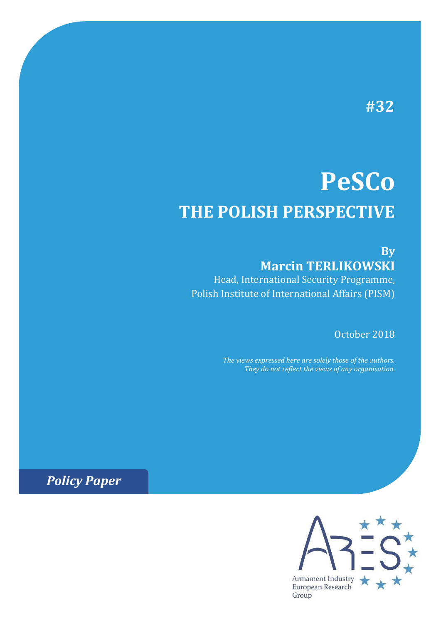# **#32**

# **PeSCo THE POLISH PERSPECTIVE**

## **By Marcin TERLIKOWSKI**

Head, International Security Programme, Polish Institute of International Affairs (PISM)

October 2018

*The views expressed here are solely those of the authors. They do not reflect the views of any organisation.*

*Policy Paper*

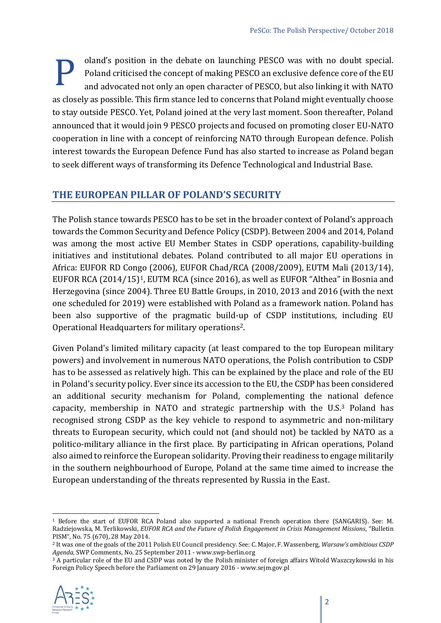oland's position in the debate on launching PESCO was with no doubt special. Poland criticised the concept of making PESCO an exclusive defence core of the EU and advocated not only an open character of PESCO, but also linking it with NATO as closely as possible. This firm stance led to concerns that Poland might eventually choose to stay outside PESCO. Yet, Poland joined at the very last moment. Soon thereafter, Poland announced that it would join 9 PESCO projects and focused on promoting closer EU-NATO cooperation in line with a concept of reinforcing NATO through European defence. Polish interest towards the European Defence Fund has also started to increase as Poland began to seek different ways of transforming its Defence Technological and Industrial Base. P

#### **THE EUROPEAN PILLAR OF POLAND'S SECURITY**

The Polish stance towards PESCO has to be set in the broader context of Poland's approach towards the Common Security and Defence Policy (CSDP). Between 2004 and 2014, Poland was among the most active EU Member States in CSDP operations, capability-building initiatives and institutional debates. Poland contributed to all major EU operations in Africa: EUFOR RD Congo (2006), EUFOR Chad/RCA (2008/2009), EUTM Mali (2013/14), EUFOR RCA (2014/15)1, EUTM RCA (since 2016), as well as EUFOR "Althea" in Bosnia and Herzegovina (since 2004). Three EU Battle Groups, in 2010, 2013 and 2016 (with the next one scheduled for 2019) were established with Poland as a framework nation. Poland has been also supportive of the pragmatic build-up of CSDP institutions, including EU Operational Headquarters for military operations2.

Given Poland's limited military capacity (at least compared to the top European military powers) and involvement in numerous NATO operations, the Polish contribution to CSDP has to be assessed as relatively high. This can be explained by the place and role of the EU in Poland's security policy. Ever since its accession to the EU, the CSDP has been considered an additional security mechanism for Poland, complementing the national defence capacity, membership in NATO and strategic partnership with the U.S.<sup>3</sup> Poland has recognised strong CSDP as the key vehicle to respond to asymmetric and non-military threats to European security, which could not (and should not) be tackled by NATO as a politico-military alliance in the first place. By participating in African operations, Poland also aimed to reinforce the European solidarity. Proving their readiness to engage militarily in the southern neighbourhood of Europe, Poland at the same time aimed to increase the European understanding of the threats represented by Russia in the East.

<sup>&</sup>lt;sup>3</sup> A particular role of the EU and CSDP was noted by the Polish minister of foreign affairs Witold Waszczykowski in his Foreign Policy Speech before the Parliament on 29 January 2016 - www.sejm.gov.pl



 $\overline{a}$ <sup>1</sup> Before the start of EUFOR RCA Poland also supported a national French operation there (SANGARIS). See: M. Radziejowska, M. Terlikowski, *EUFOR RCA and the Future of Polish Engagement in Crisis Management Missions*, "Bulletin PISM", No. 75 (670), 28 May 2014.

<sup>2</sup> It was one of the goals of the 2011 Polish EU Council presidency. See: C. Major, F. Wassenberg, *Warsaw's ambitious CSDP Agenda,* SWP Comments, No. 25 September 2011 - www.swp-berlin.org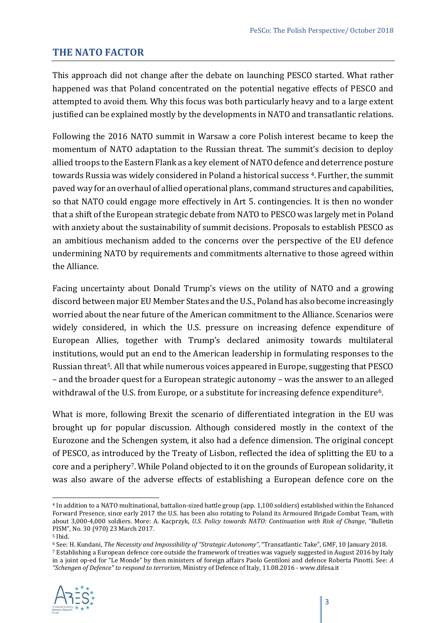#### **THE NATO FACTOR**

This approach did not change after the debate on launching PESCO started. What rather happened was that Poland concentrated on the potential negative effects of PESCO and attempted to avoid them. Why this focus was both particularly heavy and to a large extent justified can be explained mostly by the developments in NATO and transatlantic relations.

Following the 2016 NATO summit in Warsaw a core Polish interest became to keep the momentum of NATO adaptation to the Russian threat. The summit's decision to deploy allied troops to the Eastern Flank as a key element of NATO defence and deterrence posture towards Russia was widely considered in Poland a historical success<sup>4</sup>. Further, the summit paved way for an overhaul of allied operational plans, command structures and capabilities, so that NATO could engage more effectively in Art 5. contingencies. It is then no wonder that a shift of the European strategic debate from NATO to PESCO was largely met in Poland with anxiety about the sustainability of summit decisions. Proposals to establish PESCO as an ambitious mechanism added to the concerns over the perspective of the EU defence undermining NATO by requirements and commitments alternative to those agreed within the Alliance.

Facing uncertainty about Donald Trump's views on the utility of NATO and a growing discord between major EU Member States and the U.S., Poland has also become increasingly worried about the near future of the American commitment to the Alliance. Scenarios were widely considered, in which the U.S. pressure on increasing defence expenditure of European Allies, together with Trump's declared animosity towards multilateral institutions, would put an end to the American leadership in formulating responses to the Russian threat<sup>5</sup>. All that while numerous voices appeared in Europe, suggesting that PESCO – and the broader quest for a European strategic autonomy – was the answer to an alleged withdrawal of the U.S. from Europe, or a substitute for increasing defence expenditure<sup>6</sup>.

What is more, following Brexit the scenario of differentiated integration in the EU was brought up for popular discussion. Although considered mostly in the context of the Eurozone and the Schengen system, it also had a defence dimension. The original concept of PESCO, as introduced by the Treaty of Lisbon, reflected the idea of splitting the EU to a core and a periphery7. While Poland objected to it on the grounds of European solidarity, it was also aware of the adverse effects of establishing a European defence core on the

<sup>6</sup> See: H. Kundani, *The Necessity and Impossibility of "Strategic Autonomy"*, "Transatlantic Take", GMF, 10 January 2018.

<sup>7</sup> Establishing a European defence core outside the framework of treaties was vaguely suggested in August 2016 by Italy in a joint op-ed for "Le Monde" by then ministers of foreign affairs Paolo Gentiloni and defence Roberta Pinotti. See: *A "Schengen of Defence" to respond to terrorism*, Ministry of Defence of Italy, 11.08.2016 - www.difesa.it



 $\overline{a}$ <sup>4</sup> In addition to a NATO multinational, battalion-sized battle group (app. 1,100 soldiers) established within the Enhanced Forward Presence, since early 2017 the U.S. has been also rotating to Poland its Armoured Brigade Combat Team, with about 3,000-4,000 soldiers. More: A. Kacprzyk, *U.S. Policy towards NATO: Continuation with Risk of Change*, "Bulletin PISM", No. 30 (970) 23 March 2017.

<sup>5</sup> Ibid.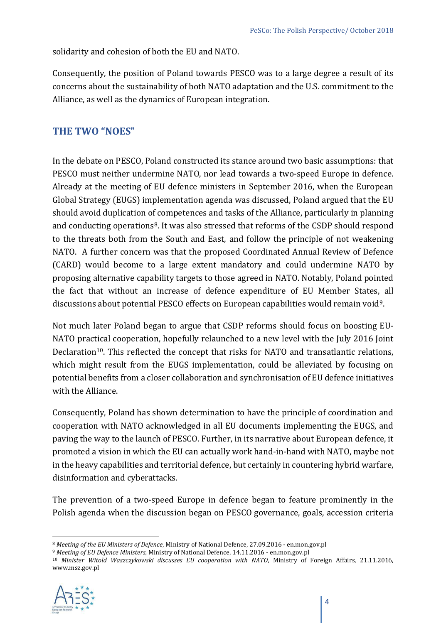solidarity and cohesion of both the EU and NATO.

Consequently, the position of Poland towards PESCO was to a large degree a result of its concerns about the sustainability of both NATO adaptation and the U.S. commitment to the Alliance, as well as the dynamics of European integration.

#### **THE TWO "NOES"**

In the debate on PESCO, Poland constructed its stance around two basic assumptions: that PESCO must neither undermine NATO, nor lead towards a two-speed Europe in defence. Already at the meeting of EU defence ministers in September 2016, when the European Global Strategy (EUGS) implementation agenda was discussed, Poland argued that the EU should avoid duplication of competences and tasks of the Alliance, particularly in planning and conducting operations<sup>8</sup>. It was also stressed that reforms of the CSDP should respond to the threats both from the South and East, and follow the principle of not weakening NATO. A further concern was that the proposed Coordinated Annual Review of Defence (CARD) would become to a large extent mandatory and could undermine NATO by proposing alternative capability targets to those agreed in NATO. Notably, Poland pointed the fact that without an increase of defence expenditure of EU Member States, all discussions about potential PESCO effects on European capabilities would remain void9.

Not much later Poland began to argue that CSDP reforms should focus on boosting EU-NATO practical cooperation, hopefully relaunched to a new level with the July 2016 Joint Declaration<sup>10</sup>. This reflected the concept that risks for NATO and transatlantic relations, which might result from the EUGS implementation, could be alleviated by focusing on potential benefits from a closer collaboration and synchronisation of EU defence initiatives with the Alliance.

Consequently, Poland has shown determination to have the principle of coordination and cooperation with NATO acknowledged in all EU documents implementing the EUGS, and paving the way to the launch of PESCO. Further, in its narrative about European defence, it promoted a vision in which the EU can actually work hand-in-hand with NATO, maybe not in the heavy capabilities and territorial defence, but certainly in countering hybrid warfare, disinformation and cyberattacks.

The prevention of a two-speed Europe in defence began to feature prominently in the Polish agenda when the discussion began on PESCO governance, goals, accession criteria

<sup>10</sup> *Minister Witold Waszczykowski discusses EU cooperation with NATO*, Ministry of Foreign Affairs, 21.11.2016, www.msz.gov.pl



 $\overline{a}$ <sup>8</sup> *Meeting of the EU Ministers of Defence*, Ministry of National Defence, 27.09.2016 - en.mon.gov.pl

<sup>9</sup> *Meeting of EU Defence Ministers,* Ministry of National Defence, 14.11.2016 - en.mon.gov.pl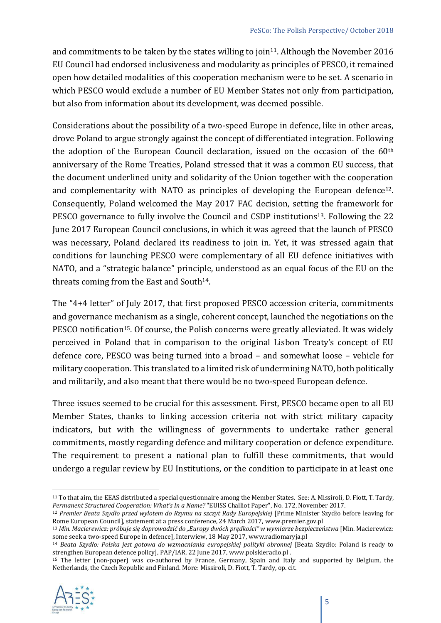and commitments to be taken by the states willing to join<sup>11</sup>. Although the November 2016 EU Council had endorsed inclusiveness and modularity as principles of PESCO, it remained open how detailed modalities of this cooperation mechanism were to be set. A scenario in which PESCO would exclude a number of EU Member States not only from participation, but also from information about its development, was deemed possible.

Considerations about the possibility of a two-speed Europe in defence, like in other areas, drove Poland to argue strongly against the concept of differentiated integration. Following the adoption of the European Council declaration, issued on the occasion of the 60th anniversary of the Rome Treaties, Poland stressed that it was a common EU success, that the document underlined unity and solidarity of the Union together with the cooperation and complementarity with NATO as principles of developing the European defence<sup>12</sup>. Consequently, Poland welcomed the May 2017 FAC decision, setting the framework for PESCO governance to fully involve the Council and CSDP institutions<sup>13</sup>. Following the 22 June 2017 European Council conclusions, in which it was agreed that the launch of PESCO was necessary, Poland declared its readiness to join in. Yet, it was stressed again that conditions for launching PESCO were complementary of all EU defence initiatives with NATO, and a "strategic balance" principle, understood as an equal focus of the EU on the threats coming from the East and South<sup>14</sup>.

The "4+4 letter" of July 2017, that first proposed PESCO accession criteria, commitments and governance mechanism as a single, coherent concept, launched the negotiations on the PESCO notification<sup>15</sup>. Of course, the Polish concerns were greatly alleviated. It was widely perceived in Poland that in comparison to the original Lisbon Treaty's concept of EU defence core, PESCO was being turned into a broad – and somewhat loose – vehicle for military cooperation. This translated to a limited risk of undermining NATO, both politically and militarily, and also meant that there would be no two-speed European defence.

Three issues seemed to be crucial for this assessment. First, PESCO became open to all EU Member States, thanks to linking accession criteria not with strict military capacity indicators, but with the willingness of governments to undertake rather general commitments, mostly regarding defence and military cooperation or defence expenditure. The requirement to present a national plan to fulfill these commitments, that would undergo a regular review by EU Institutions, or the condition to participate in at least one

<sup>15</sup> The letter (non-paper) was co-authored by France, Germany, Spain and Italy and supported by Belgium, the Netherlands, the Czech Republic and Finland. More: Missiroli, D. Fiott, T. Tardy, op. cit.



l

<sup>11</sup> To that aim, the EEAS distributed a special questionnaire among the Member States. See: A. Missiroli, D. Fiott, T. Tardy, *Permanent Structured Cooperation: What's In a Name?* "EUISS Challiot Paper", No. 172, November 2017.

<sup>12</sup> *Premier Beata Szydło przed wylotem do Rzymu na szczyt Rady Europejskiej* [Prime Minister Szydło before leaving for Rome European Council], statement at a press conference, 24 March 2017, www.premier.gov.pl

<sup>&</sup>lt;sup>13</sup> Min. Macierewicz: próbuje się doprowadzić do "Europy dwóch prędkości" w wymiarze bezpieczeństwa [Min. Macierewicz: some seek a two-speed Europe in defence], Interwiew, 18 May 2017, www.radiomaryja.pl

<sup>14</sup> *Beata Szydło: Polska jest gotowa do wzmacniania europejskiej polityki obronnej* [Beata Szydło: Poland is ready to strengthen European defence policy], PAP/IAR, 22 June 2017, www.polskieradio.pl .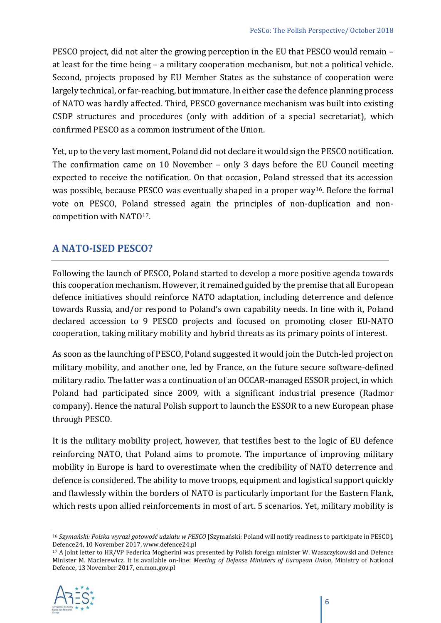PESCO project, did not alter the growing perception in the EU that PESCO would remain – at least for the time being – a military cooperation mechanism, but not a political vehicle. Second, projects proposed by EU Member States as the substance of cooperation were largely technical, or far-reaching, but immature. In either case the defence planning process of NATO was hardly affected. Third, PESCO governance mechanism was built into existing CSDP structures and procedures (only with addition of a special secretariat), which confirmed PESCO as a common instrument of the Union.

Yet, up to the very last moment, Poland did not declare it would sign the PESCO notification. The confirmation came on 10 November – only 3 days before the EU Council meeting expected to receive the notification. On that occasion, Poland stressed that its accession was possible, because PESCO was eventually shaped in a proper way16. Before the formal vote on PESCO, Poland stressed again the principles of non-duplication and noncompetition with NATO17.

#### **A NATO-ISED PESCO?**

Following the launch of PESCO, Poland started to develop a more positive agenda towards this cooperation mechanism. However, it remained guided by the premise that all European defence initiatives should reinforce NATO adaptation, including deterrence and defence towards Russia, and/or respond to Poland's own capability needs. In line with it, Poland declared accession to 9 PESCO projects and focused on promoting closer EU-NATO cooperation, taking military mobility and hybrid threats as its primary points of interest.

As soon as the launching of PESCO, Poland suggested it would join the Dutch-led project on military mobility, and another one, led by France, on the future secure software-defined military radio. The latter was a continuation of an OCCAR-managed ESSOR project, in which Poland had participated since 2009, with a significant industrial presence (Radmor company). Hence the natural Polish support to launch the ESSOR to a new European phase through PESCO.

It is the military mobility project, however, that testifies best to the logic of EU defence reinforcing NATO, that Poland aims to promote. The importance of improving military mobility in Europe is hard to overestimate when the credibility of NATO deterrence and defence is considered. The ability to move troops, equipment and logistical support quickly and flawlessly within the borders of NATO is particularly important for the Eastern Flank, which rests upon allied reinforcements in most of art. 5 scenarios. Yet, military mobility is

<sup>17</sup> A joint letter to HR/VP Federica Mogherini was presented by Polish foreign minister W. Waszczykowski and Defence Minister M. Macierewicz. It is available on-line: *Meeting of Defense Ministers of European Union*, Ministry of National Defence, 13 November 2017, en.mon.gov.pl



 $\overline{a}$ 

<sup>16</sup> *Szymański: Polska wyrazi gotowość udziału w PESCO* [Szymański: Poland will notify readiness to participate in PESCO], Defence24, 10 November 2017, www.defence24.pl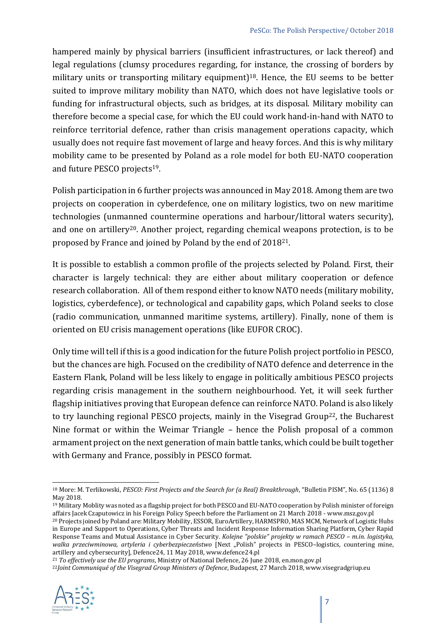hampered mainly by physical barriers (insufficient infrastructures, or lack thereof) and legal regulations (clumsy procedures regarding, for instance, the crossing of borders by military units or transporting military equipment)<sup>18</sup>. Hence, the EU seems to be better suited to improve military mobility than NATO, which does not have legislative tools or funding for infrastructural objects, such as bridges, at its disposal. Military mobility can therefore become a special case, for which the EU could work hand-in-hand with NATO to reinforce territorial defence, rather than crisis management operations capacity, which usually does not require fast movement of large and heavy forces. And this is why military mobility came to be presented by Poland as a role model for both EU-NATO cooperation and future PESCO projects19.

Polish participation in 6 further projects was announced in May 2018. Among them are two projects on cooperation in cyberdefence, one on military logistics, two on new maritime technologies (unmanned countermine operations and harbour/littoral waters security), and one on artillery<sup>20</sup>. Another project, regarding chemical weapons protection, is to be proposed by France and joined by Poland by the end of 201821.

It is possible to establish a common profile of the projects selected by Poland. First, their character is largely technical: they are either about military cooperation or defence research collaboration. All of them respond either to know NATO needs (military mobility, logistics, cyberdefence), or technological and capability gaps, which Poland seeks to close (radio communication, unmanned maritime systems, artillery). Finally, none of them is oriented on EU crisis management operations (like EUFOR CROC).

Only time will tell if this is a good indication for the future Polish project portfolio in PESCO, but the chances are high. Focused on the credibility of NATO defence and deterrence in the Eastern Flank, Poland will be less likely to engage in politically ambitious PESCO projects regarding crisis management in the southern neighbourhood. Yet, it will seek further flagship initiatives proving that European defence can reinforce NATO. Poland is also likely to try launching regional PESCO projects, mainly in the Visegrad Group<sup>22</sup>, the Bucharest Nine format or within the Weimar Triangle – hence the Polish proposal of a common armament project on the next generation of main battle tanks, which could be built together with Germany and France, possibly in PESCO format.

<sup>21</sup> *To effectively use the EU programs*, Ministry of National Defence, 26 June 2018, en.mon.gov.pl

<sup>22</sup>*Joint Communiqué of the Visegrad Group Ministers of Defence*, Budapest, 27 March 2018, www.visegradgriup.eu



l

<sup>18</sup> More: M. Terlikowski, *PESCO: First Projects and the Search for (a Real) Breakthrough*, "Bulletin PISM", No. 65 (1136) 8 May 2018.

<sup>&</sup>lt;sup>19</sup> Military Moblity was noted as a flagship project for both PESCO and EU-NATO cooperation by Polish minister of foreign affairs Jacek Czaputowicz in his Foreign Policy Speech before the Parliament on 21 March 2018 - www.msz.gov.pl

<sup>20</sup> Projects joined by Poland are: Military Mobility, ESSOR, EuroArtillery, HARMSPRO, MAS MCM, Network of Logistic Hubs in Europe and Support to Operations, Cyber Threats and Incident Response Information Sharing Platform, Cyber Rapid Response Teams and Mutual Assistance in Cyber Security. *Kolejne "polskie" projekty w ramach PESCO – m.in. logistyka,*  walka przeciwminowa, artyleria i cyberbezpieczeństwo [Next "Polish" projects in PESCO-logistics, countering mine, artillery and cybersecurity], Defence24, 11 May 2018, www.defence24.pl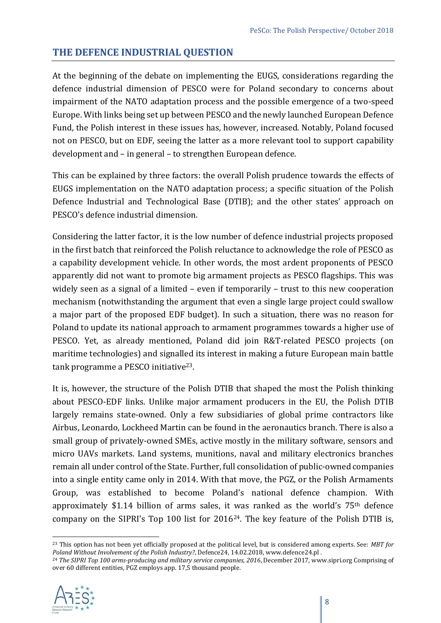#### **THE DEFENCE INDUSTRIAL QUESTION**

At the beginning of the debate on implementing the EUGS, considerations regarding the defence industrial dimension of PESCO were for Poland secondary to concerns about impairment of the NATO adaptation process and the possible emergence of a two-speed Europe. With links being set up between PESCO and the newly launched European Defence Fund, the Polish interest in these issues has, however, increased. Notably, Poland focused not on PESCO, but on EDF, seeing the latter as a more relevant tool to support capability development and – in general – to strengthen European defence.

This can be explained by three factors: the overall Polish prudence towards the effects of EUGS implementation on the NATO adaptation process; a specific situation of the Polish Defence Industrial and Technological Base (DTIB); and the other states' approach on PESCO's defence industrial dimension.

Considering the latter factor, it is the low number of defence industrial projects proposed in the first batch that reinforced the Polish reluctance to acknowledge the role of PESCO as a capability development vehicle. In other words, the most ardent proponents of PESCO apparently did not want to promote big armament projects as PESCO flagships. This was widely seen as a signal of a limited – even if temporarily – trust to this new cooperation mechanism (notwithstanding the argument that even a single large project could swallow a major part of the proposed EDF budget). In such a situation, there was no reason for Poland to update its national approach to armament programmes towards a higher use of PESCO. Yet, as already mentioned, Poland did join R&T-related PESCO projects (on maritime technologies) and signalled its interest in making a future European main battle tank programme a PESCO initiative<sup>23</sup>.

It is, however, the structure of the Polish DTIB that shaped the most the Polish thinking about PESCO-EDF links. Unlike major armament producers in the EU, the Polish DTIB largely remains state-owned. Only a few subsidiaries of global prime contractors like Airbus, Leonardo, Lockheed Martin can be found in the aeronautics branch. There is also a small group of privately-owned SMEs, active mostly in the military software, sensors and micro UAVs markets. Land systems, munitions, naval and military electronics branches remain all under control of the State. Further, full consolidation of public-owned companies into a single entity came only in 2014. With that move, the PGZ, or the Polish Armaments Group, was established to become Poland's national defence champion. With approximately \$1.14 billion of arms sales, it was ranked as the world's  $75<sup>th</sup>$  defence company on the SIPRI's Top 100 list for 201624. The key feature of the Polish DTIB is,

<sup>&</sup>lt;sup>24</sup> The SIPRI Top 100 arms-producing and military service companies, 2016, December 2017, www.sipri.org Comprising of over 60 different entities, PGZ employs app. 17,5 thousand people.



 $\overline{a}$ <sup>23</sup> This option has not been yet officially proposed at the political level, but is considered among experts. See: *MBT for Poland Without Involvement of the Polish Industry?*, Defence24, 14.02.2018, www.defence24.pl .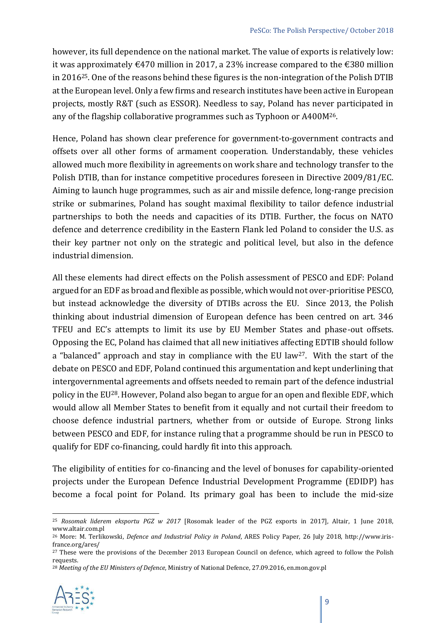however, its full dependence on the national market. The value of exports is relatively low: it was approximately €470 million in 2017, a 23% increase compared to the €380 million in 201625. One of the reasons behind these figures is the non-integration of the Polish DTIB at the European level. Only a few firms and research institutes have been active in European projects, mostly R&T (such as ESSOR). Needless to say, Poland has never participated in any of the flagship collaborative programmes such as Typhoon or A400M26.

Hence, Poland has shown clear preference for government-to-government contracts and offsets over all other forms of armament cooperation. Understandably, these vehicles allowed much more flexibility in agreements on work share and technology transfer to the Polish DTIB, than for instance competitive procedures foreseen in Directive 2009/81/EC. Aiming to launch huge programmes, such as air and missile defence, long-range precision strike or submarines, Poland has sought maximal flexibility to tailor defence industrial partnerships to both the needs and capacities of its DTIB. Further, the focus on NATO defence and deterrence credibility in the Eastern Flank led Poland to consider the U.S. as their key partner not only on the strategic and political level, but also in the defence industrial dimension.

All these elements had direct effects on the Polish assessment of PESCO and EDF: Poland argued for an EDF as broad and flexible as possible, which would not over-prioritise PESCO, but instead acknowledge the diversity of DTIBs across the EU. Since 2013, the Polish thinking about industrial dimension of European defence has been centred on art. 346 TFEU and EC's attempts to limit its use by EU Member States and phase-out offsets. Opposing the EC, Poland has claimed that all new initiatives affecting EDTIB should follow a "balanced" approach and stay in compliance with the EU law27. With the start of the debate on PESCO and EDF, Poland continued this argumentation and kept underlining that intergovernmental agreements and offsets needed to remain part of the defence industrial policy in the EU28. However, Poland also began to argue for an open and flexible EDF, which would allow all Member States to benefit from it equally and not curtail their freedom to choose defence industrial partners, whether from or outside of Europe. Strong links between PESCO and EDF, for instance ruling that a programme should be run in PESCO to qualify for EDF co-financing, could hardly fit into this approach.

The eligibility of entities for co-financing and the level of bonuses for capability-oriented projects under the European Defence Industrial Development Programme (EDIDP) has become a focal point for Poland. Its primary goal has been to include the mid-size

<sup>28</sup> *Meeting of the EU Ministers of Defence*, Ministry of National Defence, 27.09.2016, en.mon.gov.pl



 $\overline{a}$ 

<sup>25</sup> *Rosomak liderem eksportu PGZ w 2017* [Rosomak leader of the PGZ exports in 2017], Altair, 1 June 2018, www.altair.com.pl

<sup>26</sup> More: M. Terlikowski, *Defence and Industrial Policy in Poland*, ARES Policy Paper, 26 July 2018, http://www.irisfrance.org/ares/

<sup>&</sup>lt;sup>27</sup> These were the provisions of the December 2013 European Council on defence, which agreed to follow the Polish requests.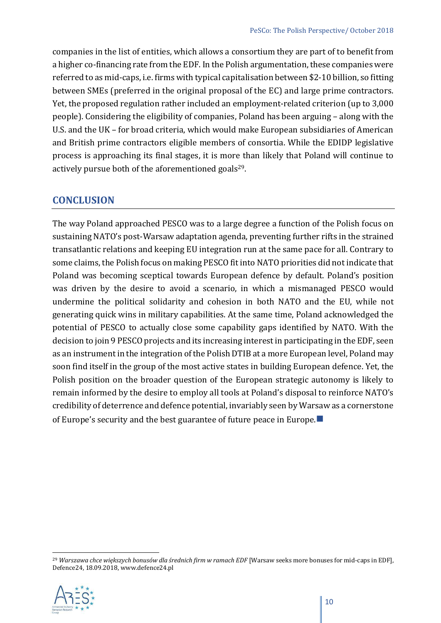companies in the list of entities, which allows a consortium they are part of to benefit from a higher co-financing rate from the EDF. In the Polish argumentation, these companies were referred to as mid-caps, i.e. firms with typical capitalisation between \$2-10 billion, so fitting between SMEs (preferred in the original proposal of the EC) and large prime contractors. Yet, the proposed regulation rather included an employment-related criterion (up to 3,000 people). Considering the eligibility of companies, Poland has been arguing – along with the U.S. and the UK – for broad criteria, which would make European subsidiaries of American and British prime contractors eligible members of consortia. While the EDIDP legislative process is approaching its final stages, it is more than likely that Poland will continue to actively pursue both of the aforementioned goals<sup>29</sup>.

#### **CONCLUSION**

The way Poland approached PESCO was to a large degree a function of the Polish focus on sustaining NATO's post-Warsaw adaptation agenda, preventing further rifts in the strained transatlantic relations and keeping EU integration run at the same pace for all. Contrary to some claims, the Polish focus on making PESCO fit into NATO priorities did not indicate that Poland was becoming sceptical towards European defence by default. Poland's position was driven by the desire to avoid a scenario, in which a mismanaged PESCO would undermine the political solidarity and cohesion in both NATO and the EU, while not generating quick wins in military capabilities. At the same time, Poland acknowledged the potential of PESCO to actually close some capability gaps identified by NATO. With the decision to join 9 PESCO projects and its increasing interest in participating in the EDF, seen as an instrument in the integration of the Polish DTIB at a more European level, Poland may soon find itself in the group of the most active states in building European defence. Yet, the Polish position on the broader question of the European strategic autonomy is likely to remain informed by the desire to employ all tools at Poland's disposal to reinforce NATO's credibility of deterrence and defence potential, invariably seen by Warsaw as a cornerstone of Europe's security and the best guarantee of future peace in Europe.■

<sup>&</sup>lt;sup>29</sup> Warszawa chce większych bonusów dla średnich firm w ramach EDF [Warsaw seeks more bonuses for mid-caps in EDF], Defence24, 18.09.2018, www.defence24.pl



l